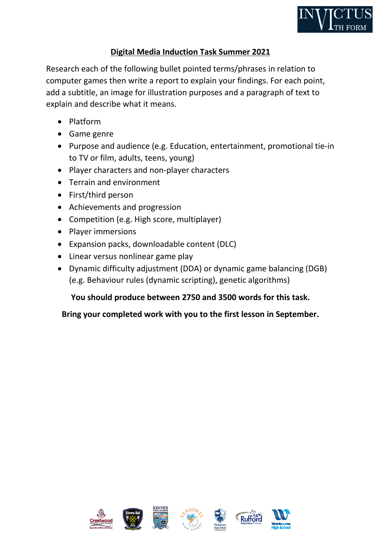

## **Digital Media Induction Task Summer 2021**

Research each of the following bullet pointed terms/phrases in relation to computer games then write a report to explain your findings. For each point, add a subtitle, an image for illustration purposes and a paragraph of text to explain and describe what it means.

- Platform
- Game genre
- Purpose and audience (e.g. Education, entertainment, promotional tie-in to TV or film, adults, teens, young)
- Player characters and non-player characters
- Terrain and environment
- First/third person
- Achievements and progression
- Competition (e.g. High score, multiplayer)
- Player immersions
- Expansion packs, downloadable content (DLC)
- Linear versus nonlinear game play
- Dynamic difficulty adjustment (DDA) or dynamic game balancing (DGB) (e.g. Behaviour rules (dynamic scripting), genetic algorithms)

## **You should produce between 2750 and 3500 words for this task.**

**Bring your completed work with you to the first lesson in September.**